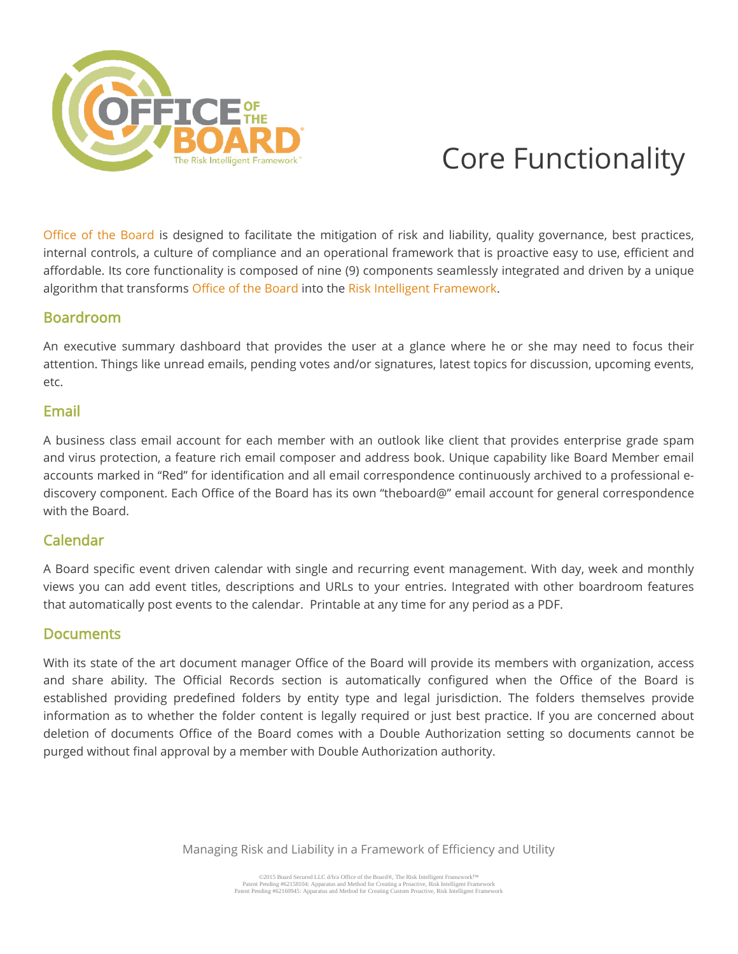

# Core Functionality

Office of the Board is designed to facilitate the mitigation of risk and liability, quality governance, best practices, internal controls, a culture of compliance and an operational framework that is proactive easy to use, efficient and affordable. Its core functionality is composed of nine (9) components seamlessly integrated and driven by a unique algorithm that transforms Office of the Board into the Risk Intelligent Framework.

# Boardroom

An executive summary dashboard that provides the user at a glance where he or she may need to focus their attention. Things like unread emails, pending votes and/or signatures, latest topics for discussion, upcoming events, etc.

#### Email

A business class email account for each member with an outlook like client that provides enterprise grade spam and virus protection, a feature rich email composer and address book. Unique capability like Board Member email accounts marked in "Red" for identification and all email correspondence continuously archived to a professional ediscovery component. Each Office of the Board has its own "theboard@" email account for general correspondence with the Board.

# Calendar

A Board specific event driven calendar with single and recurring event management. With day, week and monthly views you can add event titles, descriptions and URLs to your entries. Integrated with other boardroom features that automatically post events to the calendar. Printable at any time for any period as a PDF.

### **Documents**

With its state of the art document manager Office of the Board will provide its members with organization, access and share ability. The Official Records section is automatically configured when the Office of the Board is established providing predefined folders by entity type and legal jurisdiction. The folders themselves provide information as to whether the folder content is legally required or just best practice. If you are concerned about deletion of documents Office of the Board comes with a Double Authorization setting so documents cannot be purged without final approval by a member with Double Authorization authority.

Managing Risk and Liability in a Framework of Efficiency and Utility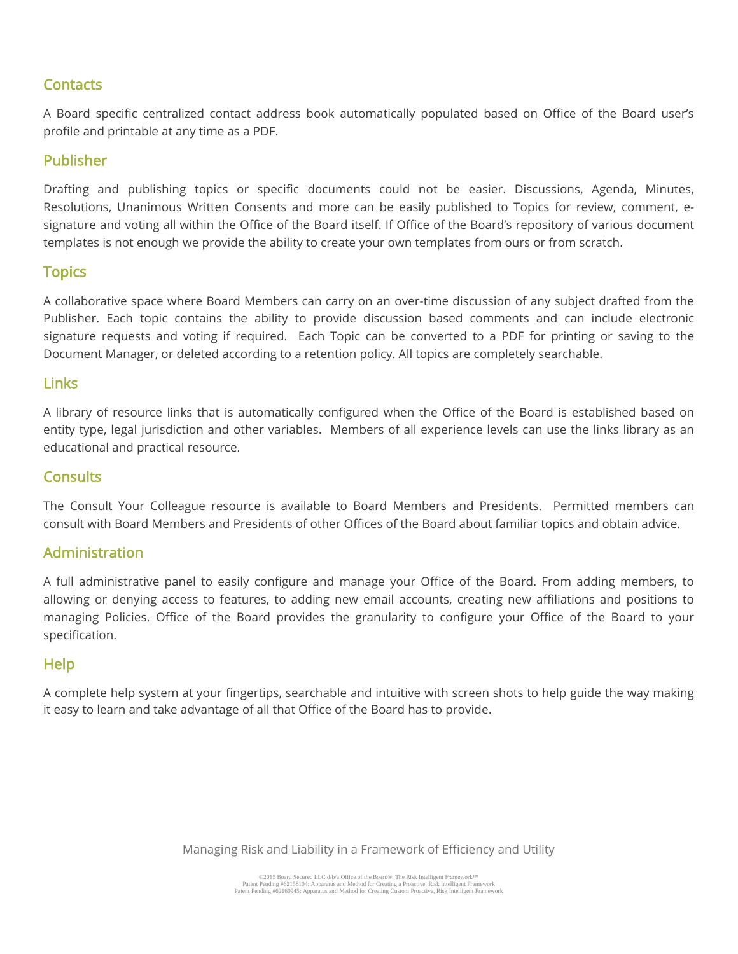# **Contacts**

A Board specific centralized contact address book automatically populated based on Office of the Board user's profile and printable at any time as a PDF.

# Publisher

Drafting and publishing topics or specific documents could not be easier. Discussions, Agenda, Minutes, Resolutions, Unanimous Written Consents and more can be easily published to Topics for review, comment, esignature and voting all within the Office of the Board itself. If Office of the Board's repository of various document templates is not enough we provide the ability to create your own templates from ours or from scratch.

# **Topics**

A collaborative space where Board Members can carry on an over-time discussion of any subject drafted from the Publisher. Each topic contains the ability to provide discussion based comments and can include electronic signature requests and voting if required. Each Topic can be converted to a PDF for printing or saving to the Document Manager, or deleted according to a retention policy. All topics are completely searchable.

#### **Links**

A library of resource links that is automatically configured when the Office of the Board is established based on entity type, legal jurisdiction and other variables. Members of all experience levels can use the links library as an educational and practical resource.

## **Consults**

The Consult Your Colleague resource is available to Board Members and Presidents. Permitted members can consult with Board Members and Presidents of other Offices of the Board about familiar topics and obtain advice.

### Administration

A full administrative panel to easily configure and manage your Office of the Board. From adding members, to allowing or denying access to features, to adding new email accounts, creating new affiliations and positions to managing Policies. Office of the Board provides the granularity to configure your Office of the Board to your specification.

### Help

A complete help system at your fingertips, searchable and intuitive with screen shots to help guide the way making it easy to learn and take advantage of all that Office of the Board has to provide.

Managing Risk and Liability in a Framework of Efficiency and Utility